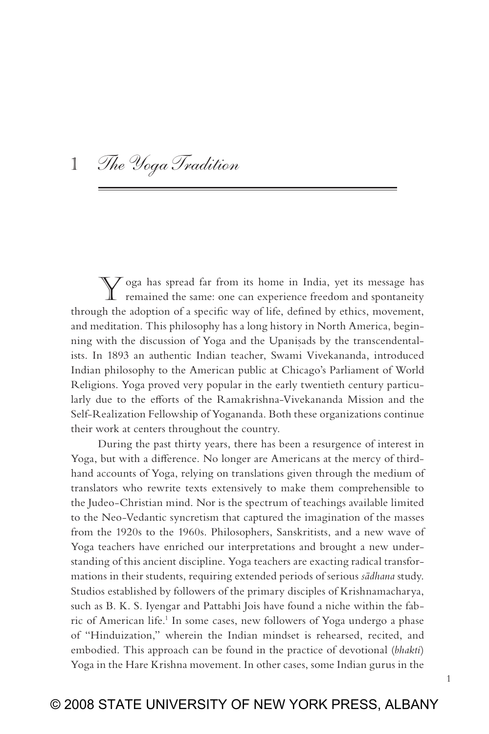1 The Yoga Tradition

Yoga has spread far from its home in India, yet its message has remained the same: one can experience freedom and spontaneity gh the adoption of a specific way of life, defined by ethics, movement, editation. This philosop *remained the same: one can experience freedom and spontaneity*  through the adoption of a specific way of life, defined by ethics, movement, *and meditation. This philosophy has a long history in North America, beginning with the discussion of Yoga and the Upaniṣads by the transcendentalists. In 1893 an authentic Indian teacher, Swami Vivekananda, introduced Indian philosophy to the American public at Chicago's Parliament of World Religions. Yoga proved very popular in the early twentieth century particu*larly due to the efforts of the Ramakrishna-Vivekananda Mission and the *Self-Realization Fellowship of Yogananda. Both these organizations continue their work at centers throughout the country.*

*During the past thirty years, there has been a resurgence of interest in*  Yoga, but with a difference. No longer are Americans at the mercy of thirdhand accounts of Yoga, relying on translations given through the medium of *translators who rewrite texts extensively to make them comprehensible to the Judeo-Christian mind. Nor is the spectrum of teachings available limited to the Neo-Vedantic syncretism that captured the imagination of the masses from the 1920s to the 1960s. Philosophers, Sanskritists, and a new wave of Yoga teachers have enriched our interpretations and brought a new understanding of this ancient discipline. Yoga teachers are exacting radical transformations in their students, requiring extended periods of serious sādhana study. Studios established by followers of the primary disciples of Krishnamacharya, such as B. K. S. Iyengar and Pattabhi Jois have found a niche within the fab*ric of American life.<sup>1</sup> In some cases, new followers of Yoga undergo a phase *of "Hinduization," wherein the Indian mindset is rehearsed, recited, and embodied. This approach can be found in the practice of devotional (bhakti) Yoga in the Hare Krishna movement. In other cases, some Indian gurus in the* 

 *1*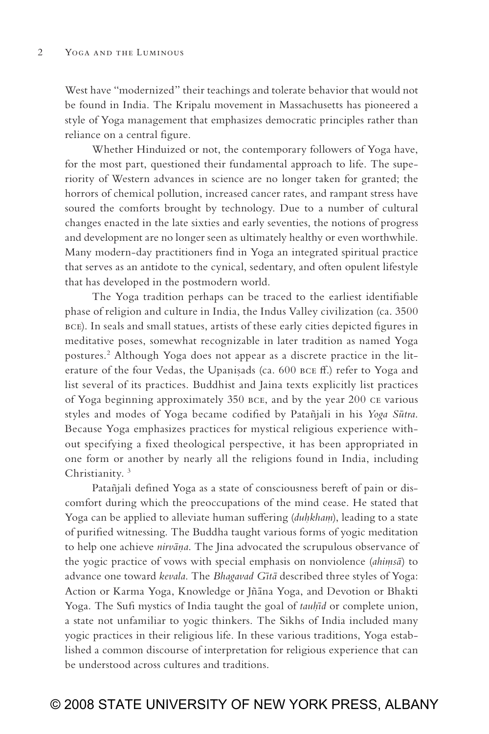West have "modernized" their teachings and tolerate behavior that would not *be found in India. The Kripalu movement in Massachusetts has pioneered a style of Yoga management that emphasizes democratic principles rather than*  reliance on a central figure.

*Whether Hinduized or not, the contemporary followers of Yoga have, for the most part, questioned their fundamental approach to life. The supe*riority of Western advances in science are no longer taken for granted; the *horrors of chemical pollution, increased cancer rates, and rampant stress have*  soured the comforts brought by technology. Due to a number of cultural *changes enacted in the late sixties and early seventies, the notions of progress and development are no longer seen as ultimately healthy or even worthwhile. Many modern-day practitioners fi nd in Yoga an integrated spiritual practice that serves as an antidote to the cynical, sedentary, and often opulent lifestyle that has developed in the postmodern world.*

The Yoga tradition perhaps can be traced to the earliest identifiable *phase of religion and culture in India, the Indus Valley civilization (ca. 3500*  BCE). In seals and small statues, artists of these early cities depicted figures in *meditative poses, somewhat recognizable in later tradition as named Yoga postures.2 Although Yoga does not appear as a discrete practice in the literature of the four Vedas, the Upaniṣads (ca. 600 BCE ff .) refer to Yoga and list several of its practices. Buddhist and Jaina texts explicitly list practices of Yoga beginning approximately 350 BCE, and by the year 200 CE various*  styles and modes of Yoga became codified by Patañjali in his *Yoga Sūtra*. *Because Yoga emphasizes practices for mystical religious experience without specifying a fi xed theological perspective, it has been appropriated in one form or another by nearly all the religions found in India, including Christianity. 3*

Patañjali defined Yoga as a state of consciousness bereft of pain or dis*comfort during which the preoccupations of the mind cease. He stated that Yoga can be applied to alleviate human suffering (<i>duḥkhaṃ*), leading to a state of purified witnessing. The Buddha taught various forms of yogic meditation *to help one achieve nirvāṇa. The Jina advocated the scrupulous observance of the yogic practice of vows with special emphasis on nonviolence (ahiṃsā) to advance one toward kevala. The Bhagavad Gītā described three styles of Yoga: Action or Karma Yoga, Knowledge or Jñāna Yoga, and Devotion or Bhakti Yoga. The Sufi mystics of India taught the goal of tauḥīd or complete union, a state not unfamiliar to yogic thinkers. The Sikhs of India included many yogic practices in their religious life. In these various traditions, Yoga estab*lished a common discourse of interpretation for religious experience that can *be understood across cultures and traditions.*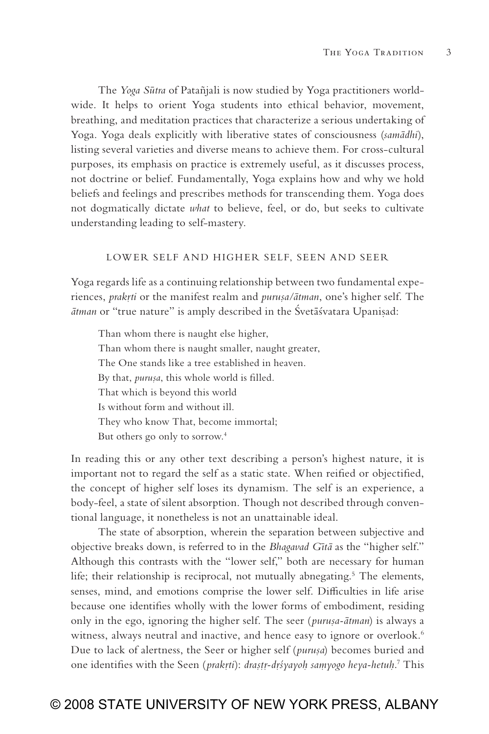*The Yoga Sūtra of Patañjali is now studied by Yoga practitioners worldwide. It helps to orient Yoga students into ethical behavior, movement,*  breathing, and meditation practices that characterize a serious undertaking of *Yoga. Yoga deals explicitly with liberative states of consciousness (samādhi),*  listing several varieties and diverse means to achieve them. For cross-cultural *purposes, its emphasis on practice is extremely useful, as it discusses process, not doctrine or belief. Fundamentally, Yoga explains how and why we hold beliefs and feelings and prescribes methods for transcending them. Yoga does not dogmatically dictate what to believe, feel, or do, but seeks to cultivate understanding leading to self-mastery.*

#### *LOWER SELF AND HIGHER SELF, SEEN AND SEER*

*Yoga regards life as a continuing relationship between two fundamental experiences, prakṛti or the manifest realm and puruṣa/ātman, one's higher self. The ātman or "true nature" is amply described in the Śvetāśvatara Upaniṣad:*

*Than whom there is naught else higher, Than whom there is naught smaller, naught greater, The One stands like a tree established in heaven.* By that, *purusa*, this whole world is filled. *That which is beyond this world Is without form and without ill. They who know That, become immortal; But others go only to sorrow.4*

In reading this or any other text describing a person's highest nature, it is important not to regard the self as a static state. When reified or objectified, *the concept of higher self loses its dynamism. The self is an experience, a body-feel, a state of silent absorption. Though not described through conventional language, it nonetheless is not an unattainable ideal.*

*The state of absorption, wherein the separation between subjective and objective breaks down, is referred to in the Bhagavad Gītā as the "higher self." Although this contrasts with the "lower self," both are necessary for human*  life; their relationship is reciprocal, not mutually abnegating.<sup>5</sup> The elements, senses, mind, and emotions comprise the lower self. Difficulties in life arise because one identifies wholly with the lower forms of embodiment, residing *only in the ego, ignoring the higher self. The seer (puruṣa-ātman) is always a witness, always neutral and inactive, and hence easy to ignore or overlook.6 Due to lack of alertness, the Seer or higher self (puruṣa) becomes buried and one identifies with the Seen (prakṛti): draṣṭṛ-dṛśyayoḥ saṃyogo heya-hetuḥ.<sup>7</sup> This*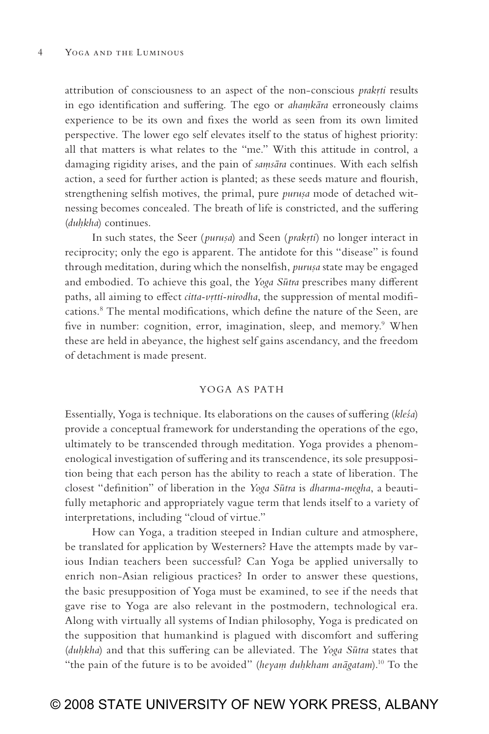*attribution of consciousness to an aspect of the non-conscious prakṛti results*  in ego identification and suffering. The ego or *ahaṃkāra* erroneously claims experience to be its own and fixes the world as seen from its own limited *perspective. The lower ego self elevates itself to the status of highest priority: all that matters is what relates to the "me." With this attitude in control, a damaging rigidity arises, and the pain of <i>samsāra* continues. With each selfish action, a seed for further action is planted; as these seeds mature and flourish, strengthening selfish motives, the primal, pure *purușa* mode of detached wit*nessing becomes concealed. The breath of life is constricted, and the suffering (duḥkha) continues.*

*In such states, the Seer (puruṣa) and Seen (prakṛti) no longer interact in reciprocity; only the ego is apparent. The antidote for this "disease" is found through meditation, during which the nonselfish, puruṣa* state may be engaged and embodied. To achieve this goal, the *Yoga Sūtra* prescribes many different *paths, all aiming to effect <i>citta-vrtti-nirodha*, the suppression of mental modifications.<sup>8</sup> The mental modifications, which define the nature of the Seen, are five in number: cognition, error, imagination, sleep, and memory.<sup>9</sup> When *these are held in abeyance, the highest self gains ascendancy, and the freedom of detachment is made present.*

## *YOGA AS PATH*

*Essentially, Yoga is technique. Its elaborations on the causes of suffering (<i>kleśa*) *provide a conceptual framework for understanding the operations of the ego, ultimately to be transcended through meditation. Yoga provides a phenom*enological investigation of suffering and its transcendence, its sole presupposi*tion being that each person has the ability to reach a state of liberation. The closest "defi nition" of liberation in the Yoga Sūtra is dharma-megha, a beauti*fully metaphoric and appropriately vague term that lends itself to a variety of *interpretations, including "cloud of virtue."*

*How can Yoga, a tradition steeped in Indian culture and atmosphere, be translated for application by Westerners? Have the attempts made by various Indian teachers been successful? Can Yoga be applied universally to enrich non-Asian religious practices? In order to answer these questions, the basic presupposition of Yoga must be examined, to see if the needs that gave rise to Yoga are also relevant in the postmodern, technological era. Along with virtually all systems of Indian philosophy, Yoga is predicated on*  the supposition that humankind is plagued with discomfort and suffering *(duhkha)* and that this suffering can be alleviated. The *Yoga Sūtra* states that *"the pain of the future is to be avoided" (heyaṃ duḥkham anāgatam).10 To the*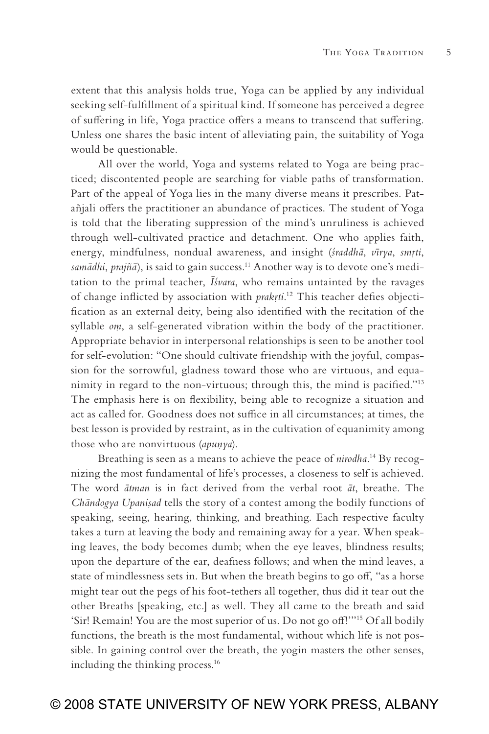extent that this analysis holds true, Yoga can be applied by any individual *seeking self-fulfi llment of a spiritual kind. If someone has perceived a degree*  of suffering in life, Yoga practice offers a means to transcend that suffering. *Unless one shares the basic intent of alleviating pain, the suitability of Yoga would be questionable.*

*All over the world, Yoga and systems related to Yoga are being practiced; discontented people are searching for viable paths of transformation. Part of the appeal of Yoga lies in the many diverse means it prescribes. Patañjali off ers the practitioner an abundance of practices. The student of Yoga*  is told that the liberating suppression of the mind's unruliness is achieved *through well-cultivated practice and detachment. One who applies faith, energy, mindfulness, nondual awareness, and insight (śraddhā, vīrya, smṛti,*  samādhi, prajñā), is said to gain success.<sup>11</sup> Another way is to devote one's medi*tation to the primal teacher, Īśvara, who remains untainted by the ravages*  of change inflicted by association with *prakrti*.<sup>12</sup> This teacher defies objecti*fication as an external deity, being also identified with the recitation of the syllable oṃ, a self-generated vibration within the body of the practitioner. Appropriate behavior in interpersonal relationships is seen to be another tool for self-evolution: "One should cultivate friendship with the joyful, compassion for the sorrowful, gladness toward those who are virtuous, and equanimity in regard to the non-virtuous; through this, the mind is pacified."13* The emphasis here is on flexibility, being able to recognize a situation and act as called for. Goodness does not suffice in all circumstances; at times, the best lesson is provided by restraint, as in the cultivation of equanimity among *those who are nonvirtuous (apuṇya).*

*Breathing is seen as a means to achieve the peace of nirodha. 14 By recognizing the most fundamental of life's processes, a closeness to self is achieved. The word ātman is in fact derived from the verbal root āt, breathe. The Chāndogya Upaniṣad tells the story of a contest among the bodily functions of speaking, seeing, hearing, thinking, and breathing. Each respective faculty takes a turn at leaving the body and remaining away for a year. When speak*ing leaves, the body becomes dumb; when the eye leaves, blindness results; *upon the departure of the ear, deafness follows; and when the mind leaves, a state of mindlessness sets in. But when the breath begins to go off , "as a horse might tear out the pegs of his foot-tethers all together, thus did it tear out the other Breaths [speaking, etc.] as well. They all came to the breath and said*  'Sir! Remain! You are the most superior of us. Do not go off!'"<sup>15</sup> Of all bodily *functions, the breath is the most fundamental, without which life is not possible. In gaining control over the breath, the yogin masters the other senses, including the thinking process.16*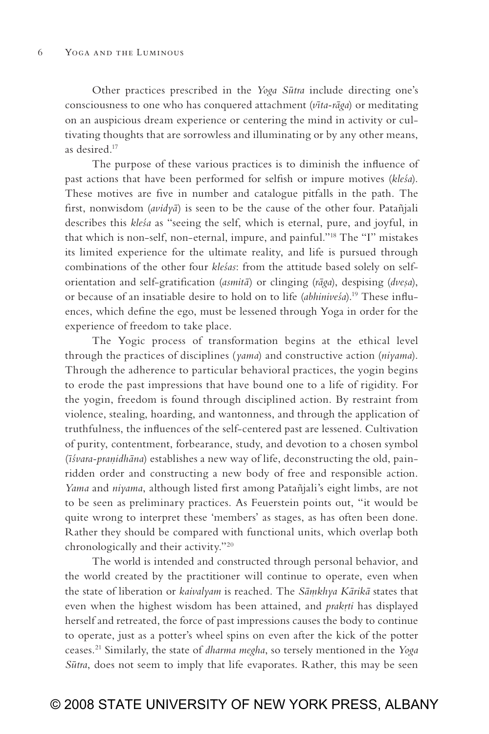*Other practices prescribed in the Yoga Sūtra include directing one's consciousness to one who has conquered attachment (vīta-rāga) or meditating on an auspicious dream experience or centering the mind in activity or cultivating thoughts that are sorrowless and illuminating or by any other means, as desired.17*

The purpose of these various practices is to diminish the influence of past actions that have been performed for selfish or impure motives (*kleśa*). These motives are five in number and catalogue pitfalls in the path. The *fi rst, nonwisdom (avidyā) is seen to be the cause of the other four. Patañjali describes this kleśa as "seeing the self, which is eternal, pure, and joyful, in that which is non-self, non-eternal, impure, and painful."18 The "I" mistakes its limited experience for the ultimate reality, and life is pursued through combinations of the other four kleśas: from the attitude based solely on selforientation and self-gratification (<i>asmitā*) or clinging (*rāga*), despising (*dvesa*), or because of an insatiable desire to hold on to life *(abhinivesa*).<sup>19</sup> These influences, which define the ego, must be lessened through Yoga in order for the *experience of freedom to take place.*

The Yogic process of transformation begins at the ethical level *through the practices of disciplines (yama) and constructive action (niyama). Through the adherence to particular behavioral practices, the yogin begins to erode the past impressions that have bound one to a life of rigidity. For the yogin, freedom is found through disciplined action. By restraint from violence, stealing, hoarding, and wantonness, and through the application of*  truthfulness, the influences of the self-centered past are lessened. Cultivation *of purity, contentment, forbearance, study, and devotion to a chosen symbol (īśvara-praṇidhāna) establishes a new way of life, deconstructing the old, painridden order and constructing a new body of free and responsible action. Yama* and *niyama*, although listed first among Patañjali's eight limbs, are not *to be seen as preliminary practices. As Feuerstein points out, "it would be quite wrong to interpret these 'members' as stages, as has often been done. Rather they should be compared with functional units, which overlap both chronologically and their activity."20*

*The world is intended and constructed through personal behavior, and the world created by the practitioner will continue to operate, even when the state of liberation or kaivalyam is reached. The Sāṃkhya Kārikā states that even when the highest wisdom has been attained, and prakṛti has displayed herself and retreated, the force of past impressions causes the body to continue*  to operate, just as a potter's wheel spins on even after the kick of the potter *ceases.21 Similarly, the state of dharma megha, so tersely mentioned in the Yoga Sūtra, does not seem to imply that life evaporates. Rather, this may be seen*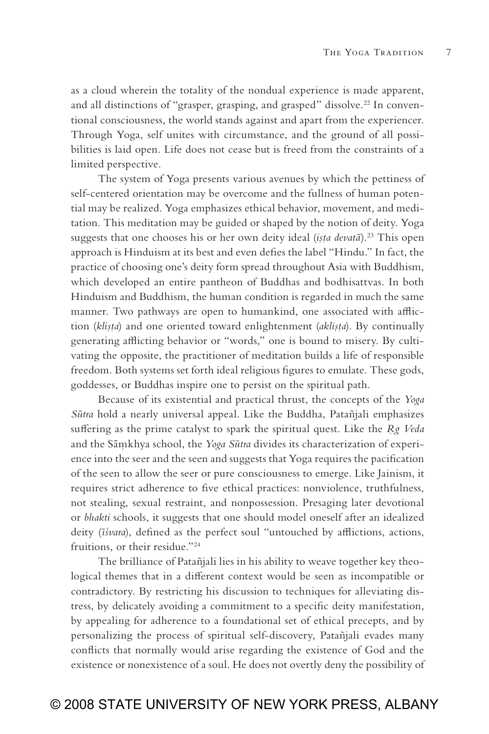*as a cloud wherein the totality of the nondual experience is made apparent,*  and all distinctions of "grasper, grasping, and grasped" dissolve.<sup>22</sup> In conven*tional consciousness, the world stands against and apart from the experiencer. Through Yoga, self unites with circumstance, and the ground of all possibilities is laid open. Life does not cease but is freed from the constraints of a limited perspective.*

*The system of Yoga presents various avenues by which the pettiness of self-centered orientation may be overcome and the fullness of human potential may be realized. Yoga emphasizes ethical behavior, movement, and meditation. This meditation may be guided or shaped by the notion of deity. Yoga suggests that one chooses his or her own deity ideal (iṣṭa devatā).23 This open*  approach is Hinduism at its best and even defies the label "Hindu." In fact, the *practice of choosing one's deity form spread throughout Asia with Buddhism, which developed an entire pantheon of Buddhas and bodhisattvas. In both Hinduism and Buddhism, the human condition is regarded in much the same*  manner. Two pathways are open to humankind, one associated with afflic*tion (kliṣṭa) and one oriented toward enlightenment (akliṣṭa). By continually*  generating afflicting behavior or "words," one is bound to misery. By culti*vating the opposite, the practitioner of meditation builds a life of responsible*  freedom. Both systems set forth ideal religious figures to emulate. These gods, *goddesses, or Buddhas inspire one to persist on the spiritual path.*

*Because of its existential and practical thrust, the concepts of the Yoga Sūtra hold a nearly universal appeal. Like the Buddha, Patañjali emphasizes suffering as the prime catalyst to spark the spiritual quest. Like the Rg Veda and the Sāṃkhya school, the Yoga Sūtra divides its characterization of experi*ence into the seer and the seen and suggests that Yoga requires the pacification *of the seen to allow the seer or pure consciousness to emerge. Like Jainism, it*  requires strict adherence to five ethical practices: nonviolence, truthfulness, *not stealing, sexual restraint, and nonpossession. Presaging later devotional or bhakti schools, it suggests that one should model oneself after an idealized deity (īśvara*), defined as the perfect soul "untouched by afflictions, actions, *fruitions, or their residue."24*

*The brilliance of Patañjali lies in his ability to weave together key theo*logical themes that in a different context would be seen as incompatible or *contradictory. By restricting his discussion to techniques for alleviating dis*tress, by delicately avoiding a commitment to a specific deity manifestation, *by appealing for adherence to a foundational set of ethical precepts, and by personalizing the process of spiritual self-discovery, Patañjali evades many*  conflicts that normally would arise regarding the existence of God and the *existence or nonexistence of a soul. He does not overtly deny the possibility of*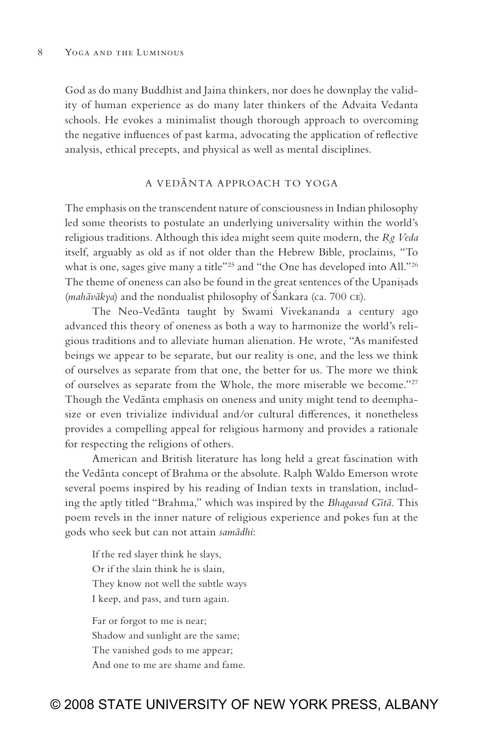*God as do many Buddhist and Jaina thinkers, nor does he downplay the validity of human experience as do many later thinkers of the Advaita Vedanta schools. He evokes a minimalist though thorough approach to overcoming the negative influences of past karma, advocating the application of reflective analysis, ethical precepts, and physical as well as mental disciplines.*

## *A VEDĀNTA APPROACH TO YOGA*

*The emphasis on the transcendent nature of consciousness in Indian philosophy led some theorists to postulate an underlying universality within the world's religious traditions. Although this idea might seem quite modern, the Ṛg Veda itself, arguably as old as if not older than the Hebrew Bible, proclaims, "To what is one, sages give many a title"25 and "the One has developed into All."26 The theme of oneness can also be found in the great sentences of the Upaniṣads (mahāvākya) and the nondualist philosophy of Śankara (ca. 700 CE).*

*The Neo-Vedānta taught by Swami Vivekananda a century ago advanced this theory of oneness as both a way to harmonize the world's religious traditions and to alleviate human alienation. He wrote, "As manifested beings we appear to be separate, but our reality is one, and the less we think of ourselves as separate from that one, the better for us. The more we think of ourselves as separate from the Whole, the more miserable we become."27 Though the Vedānta emphasis on oneness and unity might tend to deempha*size or even trivialize individual and/or cultural differences, it nonetheless *provides a compelling appeal for religious harmony and provides a rationale for respecting the religions of others.*

*American and British literature has long held a great fascination with the Vedānta concept of Brahma or the absolute. Ralph Waldo Emerson wrote several poems inspired by his reading of Indian texts in translation, including the aptly titled "Brahma," which was inspired by the Bhagavad Gītā. This*  poem revels in the inner nature of religious experience and pokes fun at the *gods who seek but can not attain samādhi:*

*If the red slayer think he slays, Or if the slain think he is slain, They know not well the subtle ways I keep, and pass, and turn again.*

*Far or forgot to me is near; Shadow and sunlight are the same; The vanished gods to me appear; And one to me are shame and fame.*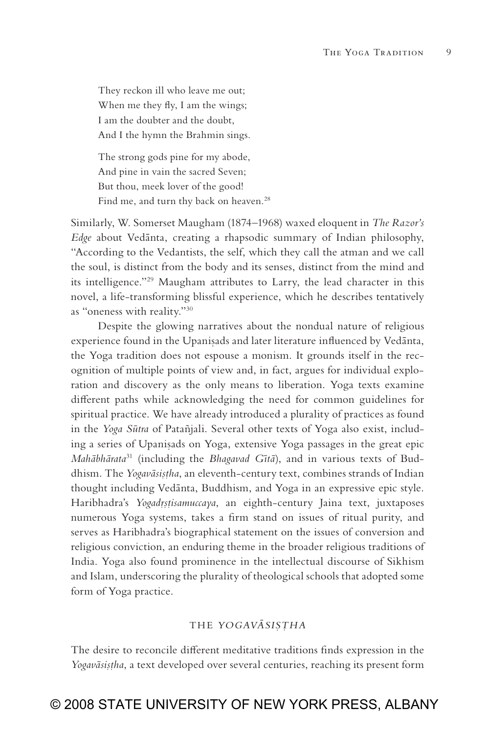*They reckon ill who leave me out;* When me they fly, I am the wings; *I am the doubter and the doubt, And I the hymn the Brahmin sings.*

*The strong gods pine for my abode, And pine in vain the sacred Seven; But thou, meek lover of the good! Find me, and turn thy back on heaven.28*

*Similarly, W. Somerset Maugham (1874–1968) waxed eloquent in The Razor's Edge about Vedānta, creating a rhapsodic summary of Indian philosophy, "According to the Vedantists, the self, which they call the atman and we call the soul, is distinct from the body and its senses, distinct from the mind and its intelligence."29 Maugham attributes to Larry, the lead character in this novel, a life-transforming blissful experience, which he describes tentatively as "oneness with reality."30*

*Despite the glowing narratives about the nondual nature of religious*  experience found in the Upanisads and later literature influenced by Vedānta, *the Yoga tradition does not espouse a monism. It grounds itself in the recognition of multiple points of view and, in fact, argues for individual exploration and discovery as the only means to liberation. Yoga texts examine*  different paths while acknowledging the need for common guidelines for *spiritual practice. We have already introduced a plurality of practices as found in the Yoga Sūtra of Patañjali. Several other texts of Yoga also exist, including a series of Upaniṣads on Yoga, extensive Yoga passages in the great epic Mahābhārata31 (including the Bhagavad Gītā), and in various texts of Buddhism. The Yogavāsiṣṭha, an eleventh-century text, combines strands of Indian thought including Vedānta, Buddhism, and Yoga in an expressive epic style. Haribhadra's Yogadṛṣṭisamuccaya, an eighth-century Jaina text, juxtaposes*  numerous Yoga systems, takes a firm stand on issues of ritual purity, and *serves as Haribhadra's biographical statement on the issues of conversion and*  religious conviction, an enduring theme in the broader religious traditions of *India. Yoga also found prominence in the intellectual discourse of Sikhism*  and Islam, underscoring the plurality of theological schools that adopted some *form of Yoga practice.*

# *THE YOGAVĀSIṢṬHA*

The desire to reconcile different meditative traditions finds expression in the *Yogavāsiṣṭha, a text developed over several centuries, reaching its present form* 

# © 2008 STATE UNIVERSITY OF NEW YORK PRESS, ALBANY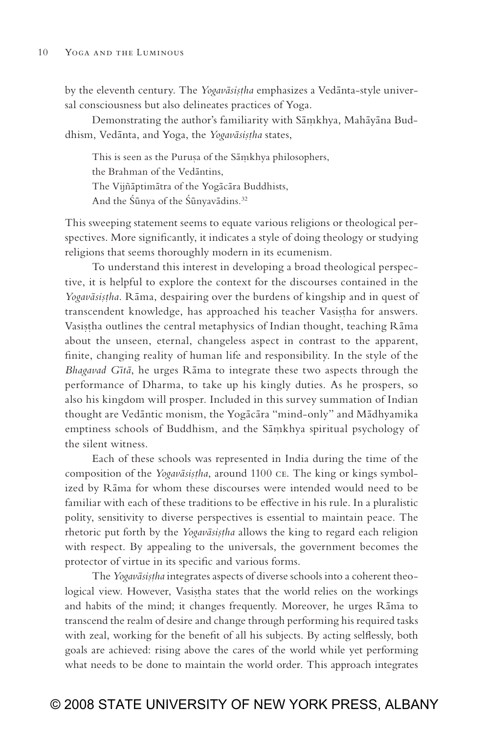*by the eleventh century. The Yogavāsiṣṭha emphasizes a Vedānta-style universal consciousness but also delineates practices of Yoga.*

*Demonstrating the author's familiarity with Sāṃkhya, Mahāyāna Buddhism, Vedānta, and Yoga, the Yogavāsiṣṭha states,*

*This is seen as the Puruṣa of the Sāṃkhya philosophers, the Brahman of the Vedāntins, The Vijñāptimātra of the Yogācāra Buddhists, And the Śūnya of the Śūnyavādins.32*

*This sweeping statement seems to equate various religions or theological per*spectives. More significantly, it indicates a style of doing theology or studying *religions that seems thoroughly modern in its ecumenism.*

*To understand this interest in developing a broad theological perspective, it is helpful to explore the context for the discourses contained in the Yogavāsiṣṭha. Rāma, despairing over the burdens of kingship and in quest of transcendent knowledge, has approached his teacher Vasiṣṭha for answers. Vasiṣṭha outlines the central metaphysics of Indian thought, teaching Rāma about the unseen, eternal, changeless aspect in contrast to the apparent,*  finite, changing reality of human life and responsibility. In the style of the *Bhagavad Gītā, he urges Rāma to integrate these two aspects through the performance of Dharma, to take up his kingly duties. As he prospers, so also his kingdom will prosper. Included in this survey summation of Indian thought are Vedāntic monism, the Yogācāra "mind-only" and Mādhyamika emptiness schools of Buddhism, and the Sāṃkhya spiritual psychology of the silent witness.*

*Each of these schools was represented in India during the time of the composition of the Yogavāsiṣṭha, around 1100 CE. The king or kings symbolized by Rāma for whom these discourses were intended would need to be* familiar with each of these traditions to be effective in his rule. In a pluralistic *polity, sensitivity to diverse perspectives is essential to maintain peace. The rhetoric put forth by the Yogavāsiṣṭha allows the king to regard each religion*  with respect. By appealing to the universals, the government becomes the protector of virtue in its specific and various forms.

*The Yogavāsiṣṭha integrates aspects of diverse schools into a coherent theological view. However, Vasiṣṭha states that the world relies on the workings*  and habits of the mind; it changes frequently. Moreover, he urges Rāma to *transcend the realm of desire and change through performing his required tasks*  with zeal, working for the benefit of all his subjects. By acting selflessly, both *goals are achieved: rising above the cares of the world while yet performing*  what needs to be done to maintain the world order. This approach integrates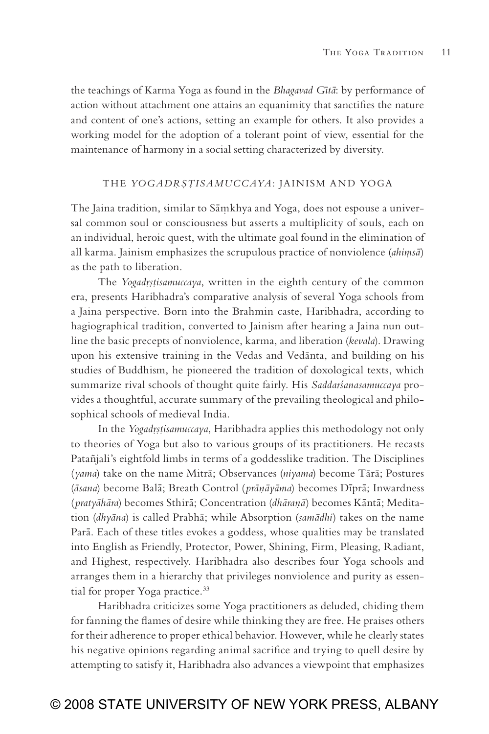*the teachings of Karma Yoga as found in the Bhagavad Gītā: by performance of*  action without attachment one attains an equanimity that sanctifies the nature and content of one's actions, setting an example for others. It also provides a working model for the adoption of a tolerant point of view, essential for the *maintenance of harmony in a social setting characterized by diversity.*

#### *THE YOGADṚṢṬISAMUCCAYA: JAINISM AND YOGA*

*The Jaina tradition, similar to Sāṃkhya and Yoga, does not espouse a universal common soul or consciousness but asserts a multiplicity of souls, each on an individual, heroic quest, with the ultimate goal found in the elimination of all karma. Jainism emphasizes the scrupulous practice of nonviolence (ahiṃsā) as the path to liberation.*

*The Yogadṛṣṭisamuccaya, written in the eighth century of the common era, presents Haribhadra's comparative analysis of several Yoga schools from a Jaina perspective. Born into the Brahmin caste, Haribhadra, according to hagiographical tradition, converted to Jainism after hearing a Jaina nun outline the basic precepts of nonviolence, karma, and liberation (kevala). Drawing upon his extensive training in the Vedas and Vedānta, and building on his studies of Buddhism, he pioneered the tradition of doxological texts, which summarize rival schools of thought quite fairly. His Saddarśanasamuccaya provides a thoughtful, accurate summary of the prevailing theological and philosophical schools of medieval India.*

*In the Yogadṛṣṭisamuccaya, Haribhadra applies this methodology not only to theories of Yoga but also to various groups of its practitioners. He recasts Patañjali's eightfold limbs in terms of a goddesslike tradition. The Disciplines (yama) take on the name Mitrā; Observances (niyama) become Tārā; Postures (āsana) become Balā; Breath Control (prāṇāyāma) becomes Dīprā; Inwardness (pratyāhāra) becomes Sthirā; Concentration (dhāraṇā) becomes Kāntā; Meditation (dhyāna) is called Prabhā; while Absorption (samādhi) takes on the name Parā. Each of these titles evokes a goddess, whose qualities may be translated into English as Friendly, Protector, Power, Shining, Firm, Pleasing, Radiant, and Highest, respectively. Haribhadra also describes four Yoga schools and arranges them in a hierarchy that privileges nonviolence and purity as essential for proper Yoga practice.33*

*Haribhadra criticizes some Yoga practitioners as deluded, chiding them*  for fanning the flames of desire while thinking they are free. He praises others *for their adherence to proper ethical behavior. However, while he clearly states*  his negative opinions regarding animal sacrifice and trying to quell desire by *attempting to satisfy it, Haribhadra also advances a viewpoint that emphasizes*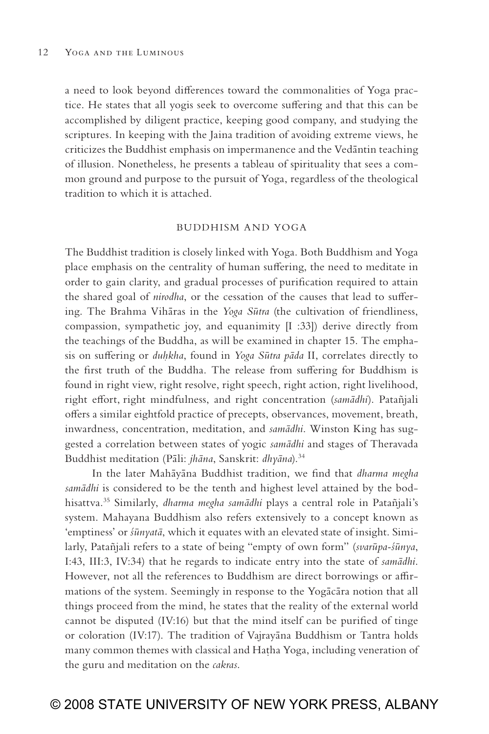a need to look beyond differences toward the commonalities of Yoga practice. He states that all yogis seek to overcome suffering and that this can be accomplished by diligent practice, keeping good company, and studying the *scriptures. In keeping with the Jaina tradition of avoiding extreme views, he criticizes the Buddhist emphasis on impermanence and the Vedāntin teaching of illusion. Nonetheless, he presents a tableau of spirituality that sees a com*mon ground and purpose to the pursuit of Yoga, regardless of the theological *tradition to which it is attached.*

## *BUDDHISM AND YOGA*

*The Buddhist tradition is closely linked with Yoga. Both Buddhism and Yoga*  place emphasis on the centrality of human suffering, the need to meditate in order to gain clarity, and gradual processes of purification required to attain the shared goal of *nirodha*, or the cessation of the causes that lead to suffer*ing. The Brahma Vihāras in the Yoga Sūtra (the cultivation of friendliness, compassion, sympathetic joy, and equanimity [I :33]) derive directly from the teachings of the Buddha, as will be examined in chapter 15. The emphasis on suff ering or duḥkha, found in Yoga Sūtra pāda II, correlates directly to*  the first truth of the Buddha. The release from suffering for Buddhism is *found in right view, right resolve, right speech, right action, right livelihood, right eff ort, right mindfulness, and right concentration (samādhi). Patañjali off ers a similar eightfold practice of precepts, observances, movement, breath, inwardness, concentration, meditation, and samādhi. Winston King has suggested a correlation between states of yogic samādhi and stages of Theravada Buddhist meditation (Pāli: jhāna, Sanskrit: dhyāna).34*

In the later Mahāyāna Buddhist tradition, we find that *dharma megha samādhi is considered to be the tenth and highest level attained by the bodhisattva.35 Similarly, dharma megha samādhi plays a central role in Patañjali's system. Mahayana Buddhism also refers extensively to a concept known as 'emptiness' or śūnyatā, which it equates with an elevated state of insight. Similarly, Patañjali refers to a state of being "empty of own form" (svarūpa-śūnya, I:43, III:3, IV:34) that he regards to indicate entry into the state of <i>samādhi*. However, not all the references to Buddhism are direct borrowings or affirmations of the system. Seemingly in response to the Yogacara notion that all *things proceed from the mind, he states that the reality of the external world cannot be disputed (IV:16) but that the mind itself can be purified of tinge or coloration (IV:17). The tradition of Vajrayāna Buddhism or Tantra holds many common themes with classical and Haṭha Yoga, including veneration of the guru and meditation on the cakras.*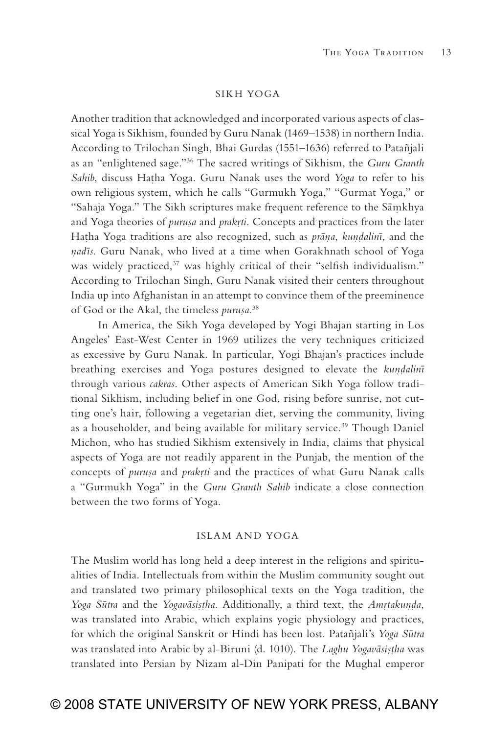## *SIKH YOGA*

*Another tradition that acknowledged and incorporated various aspects of classical Yoga is Sikhism, founded by Guru Nanak (1469–1538) in northern India. According to Trilochan Singh, Bhai Gurdas (1551–1636) referred to Patañjali*  as an "enlightened sage."<sup>36</sup> The sacred writings of Sikhism, the *Guru Granth Sahib, discuss Haṭha Yoga. Guru Nanak uses the word Yoga to refer to his own religious system, which he calls "Gurmukh Yoga," "Gurmat Yoga," or "Sahaja Yoga." The Sikh scriptures make frequent reference to the Sāṃkhya and Yoga theories of puruṣa and prakṛti. Concepts and practices from the later Haṭha Yoga traditions are also recognized, such as prāṇa, kuṇḍalinī, and the ṇadīs. Guru Nanak, who lived at a time when Gorakhnath school of Yoga*  was widely practiced,<sup>37</sup> was highly critical of their "selfish individualism." *According to Trilochan Singh, Guru Nanak visited their centers throughout India up into Afghanistan in an attempt to convince them of the preeminence of God or the Akal, the timeless puruṣa. 38*

*In America, the Sikh Yoga developed by Yogi Bhajan starting in Los Angeles' East-West Center in 1969 utilizes the very techniques criticized as excessive by Guru Nanak. In particular, Yogi Bhajan's practices include breathing exercises and Yoga postures designed to elevate the kuṇḍalinī through various cakras. Other aspects of American Sikh Yoga follow traditional Sikhism, including belief in one God, rising before sunrise, not cutting one's hair, following a vegetarian diet, serving the community, living*  as a householder, and being available for military service.<sup>39</sup> Though Daniel *Michon, who has studied Sikhism extensively in India, claims that physical*  aspects of Yoga are not readily apparent in the Punjab, the mention of the *concepts of puruṣa and prakṛti and the practices of what Guru Nanak calls a "Gurmukh Yoga" in the Guru Granth Sahib indicate a close connection between the two forms of Yoga.*

#### *ISLAM AND YOGA*

*The Muslim world has long held a deep interest in the religions and spiritu*alities of India. Intellectuals from within the Muslim community sought out and translated two primary philosophical texts on the Yoga tradition, the *Yoga Sūtra and the Yogavāsiṣṭha. Additionally, a third text, the Amṛtakuṇḍa, was translated into Arabic, which explains yogic physiology and practices, for which the original Sanskrit or Hindi has been lost. Patañjali's Yoga Sūtra was translated into Arabic by al-Biruni (d. 1010). The Laghu Yogavāsiṣṭha was translated into Persian by Nizam al-Din Panipati for the Mughal emperor*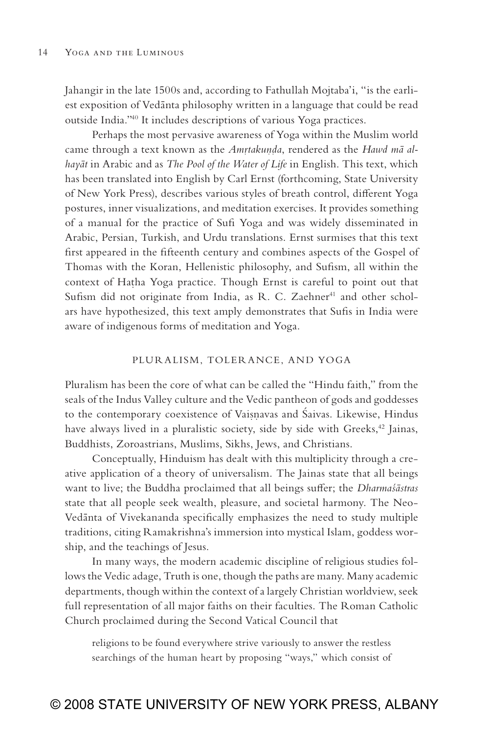*Jahangir in the late 1500s and, according to Fathullah Mojtaba'i, "is the earliest exposition of Vedānta philosophy written in a language that could be read outside India."40 It includes descriptions of various Yoga practices.*

*Perhaps the most pervasive awareness of Yoga within the Muslim world came through a text known as the Amṛtakuṇḍa, rendered as the Hawd mā alhayāt in Arabic and as The Pool of the Water of Life in English. This text, which has been translated into English by Carl Ernst (forthcoming, State University*  of New York Press), describes various styles of breath control, different Yoga *postures, inner visualizations, and meditation exercises. It provides something of a manual for the practice of Sufi Yoga and was widely disseminated in Arabic, Persian, Turkish, and Urdu translations. Ernst surmises that this text*  first appeared in the fifteenth century and combines aspects of the Gospel of Thomas with the Koran, Hellenistic philosophy, and Sufism, all within the *context of Haṭha Yoga practice. Though Ernst is careful to point out that*  Sufism did not originate from India, as R. C. Zaehner<sup>41</sup> and other scholars have hypothesized, this text amply demonstrates that Sufis in India were *aware of indigenous forms of meditation and Yoga.*

#### *PLURALISM, TOLERANCE, AND YOGA*

Pluralism has been the core of what can be called the "Hindu faith," from the *seals of the Indus Valley culture and the Vedic pantheon of gods and goddesses to the contemporary coexistence of Vaiṣṇavas and Śaivas. Likewise, Hindus have always lived in a pluralistic society, side by side with Greeks,42 Jainas, Buddhists, Zoroastrians, Muslims, Sikhs, Jews, and Christians.*

*Conceptually, Hinduism has dealt with this multiplicity through a creative application of a theory of universalism. The Jainas state that all beings want to live; the Buddha proclaimed that all beings suffer; the <i>Dharmaśāstras state that all people seek wealth, pleasure, and societal harmony. The Neo-*Vedānta of Vivekananda specifically emphasizes the need to study multiple *traditions, citing Ramakrishna's immersion into mystical Islam, goddess worship, and the teachings of Jesus.*

*In many ways, the modern academic discipline of religious studies fol*lows the Vedic adage, Truth is one, though the paths are many. Many academic *departments, though within the context of a largely Christian worldview, seek full representation of all major faiths on their faculties. The Roman Catholic Church proclaimed during the Second Vatical Council that*

*religions to be found everywhere strive variously to answer the restless searchings of the human heart by proposing "ways," which consist of*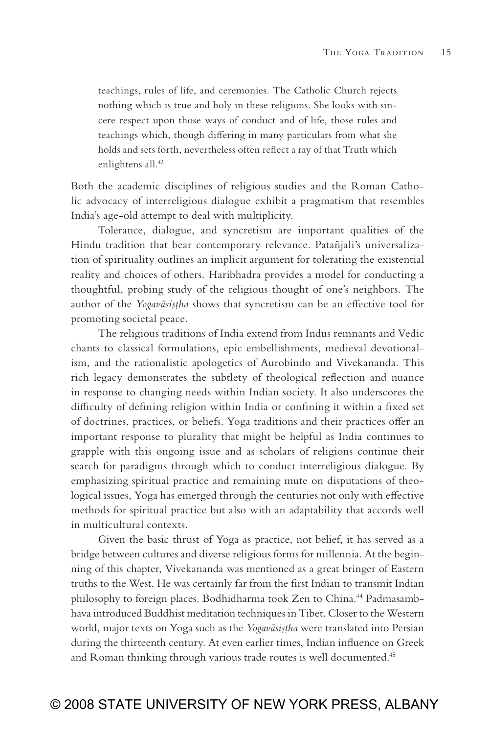*teachings, rules of life, and ceremonies. The Catholic Church rejects nothing which is true and holy in these religions. She looks with sincere respect upon those ways of conduct and of life, those rules and*  teachings which, though differing in many particulars from what she holds and sets forth, nevertheless often reflect a ray of that Truth which *enlightens all.43*

*Both the academic disciplines of religious studies and the Roman Catholic advocacy of interreligious dialogue exhibit a pragmatism that resembles India's age-old attempt to deal with multiplicity.*

*Tolerance, dialogue, and syncretism are important qualities of the Hindu tradition that bear contemporary relevance. Patañjali's universalization of spirituality outlines an implicit argument for tolerating the existential reality and choices of others. Haribhadra provides a model for conducting a thoughtful, probing study of the religious thought of one's neighbors. The*  author of the *Yogavāsiṣṭha* shows that syncretism can be an effective tool for *promoting societal peace.*

*The religious traditions of India extend from Indus remnants and Vedic chants to classical formulations, epic embellishments, medieval devotionalism, and the rationalistic apologetics of Aurobindo and Vivekananda. This*  rich legacy demonstrates the subtlety of theological reflection and nuance in response to changing needs within Indian society. It also underscores the difficulty of defining religion within India or confining it within a fixed set *of doctrines, practices, or beliefs. Yoga traditions and their practices offer an important response to plurality that might be helpful as India continues to grapple with this ongoing issue and as scholars of religions continue their search for paradigms through which to conduct interreligious dialogue. By emphasizing spiritual practice and remaining mute on disputations of theo*logical issues, Yoga has emerged through the centuries not only with effective methods for spiritual practice but also with an adaptability that accords well *in multicultural contexts.*

*Given the basic thrust of Yoga as practice, not belief, it has served as a bridge between cultures and diverse religious forms for millennia. At the beginning of this chapter, Vivekananda was mentioned as a great bringer of Eastern* truths to the West. He was certainly far from the first Indian to transmit Indian *philosophy to foreign places. Bodhidharma took Zen to China.44 Padmasambhava introduced Buddhist meditation techniques in Tibet. Closer to the Western world, major texts on Yoga such as the Yogavāsiṣṭha were translated into Persian*  during the thirteenth century. At even earlier times, Indian influence on Greek *and Roman thinking through various trade routes is well documented.45*